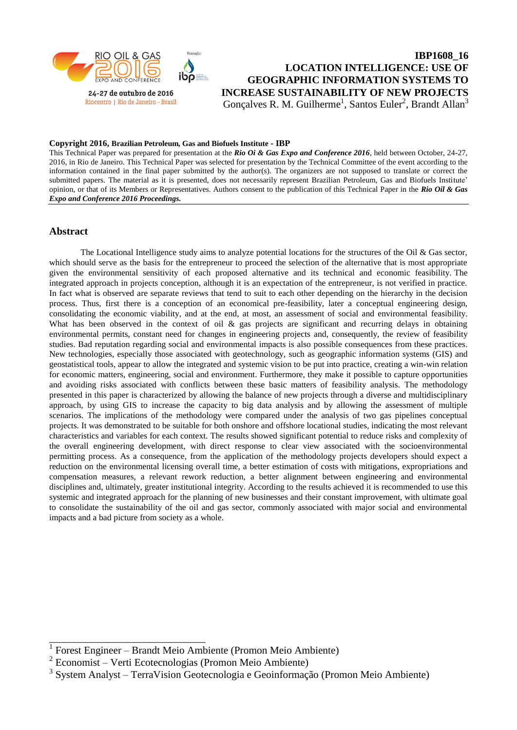

**IBP1608\_16 LOCATION INTELLIGENCE: USE OF GEOGRAPHIC INFORMATION SYSTEMS TO INCREASE SUSTAINABILITY OF NEW PROJECTS** Gonçalves R. M. Guilherme<sup>1</sup>, Santos Euler<sup>2</sup>, Brandt Allan<sup>3</sup>

### **Copyright 2016, Brazilian Petroleum, Gas and Biofuels Institute - IBP**

This Technical Paper was prepared for presentation at the *Rio Oi & Gas Expo and Conference 2016*, held between October, 24-27, 2016, in Rio de Janeiro. This Technical Paper was selected for presentation by the Technical Committee of the event according to the information contained in the final paper submitted by the author(s). The organizers are not supposed to translate or correct the submitted papers. The material as it is presented, does not necessarily represent Brazilian Petroleum, Gas and Biofuels Institute' opinion, or that of its Members or Representatives. Authors consent to the publication of this Technical Paper in the *Rio Oil & Gas Expo and Conference 2016 Proceedings.* 

# **Abstract**

The Locational Intelligence study aims to analyze potential locations for the structures of the Oil & Gas sector, which should serve as the basis for the entrepreneur to proceed the selection of the alternative that is most appropriate given the environmental sensitivity of each proposed alternative and its technical and economic feasibility. The integrated approach in projects conception, although it is an expectation of the entrepreneur, is not verified in practice. In fact what is observed are separate reviews that tend to suit to each other depending on the hierarchy in the decision process. Thus, first there is a conception of an economical pre-feasibility, later a conceptual engineering design, consolidating the economic viability, and at the end, at most, an assessment of social and environmental feasibility. What has been observed in the context of oil & gas projects are significant and recurring delays in obtaining environmental permits, constant need for changes in engineering projects and, consequently, the review of feasibility studies. Bad reputation regarding social and environmental impacts is also possible consequences from these practices. New technologies, especially those associated with geotechnology, such as geographic information systems (GIS) and geostatistical tools, appear to allow the integrated and systemic vision to be put into practice, creating a win-win relation for economic matters, engineering, social and environment. Furthermore, they make it possible to capture opportunities and avoiding risks associated with conflicts between these basic matters of feasibility analysis. The methodology presented in this paper is characterized by allowing the balance of new projects through a diverse and multidisciplinary approach, by using GIS to increase the capacity to big data analysis and by allowing the assessment of multiple scenarios. The implications of the methodology were compared under the analysis of two gas pipelines conceptual projects. It was demonstrated to be suitable for both onshore and offshore locational studies, indicating the most relevant characteristics and variables for each context. The results showed significant potential to reduce risks and complexity of the overall engineering development, with direct response to clear view associated with the socioenvironmental permitting process. As a consequence, from the application of the methodology projects developers should expect a reduction on the environmental licensing overall time, a better estimation of costs with mitigations, expropriations and compensation measures, a relevant rework reduction, a better alignment between engineering and environmental disciplines and, ultimately, greater institutional integrity. According to the results achieved it is recommended to use this systemic and integrated approach for the planning of new businesses and their constant improvement, with ultimate goal to consolidate the sustainability of the oil and gas sector, commonly associated with major social and environmental impacts and a bad picture from society as a whole.

\_\_\_\_\_\_\_\_\_\_\_\_\_\_\_\_\_\_\_\_\_\_\_\_\_\_\_\_\_\_

<sup>1</sup> Forest Engineer – Brandt Meio Ambiente (Promon Meio Ambiente)

<sup>2</sup> Economist – Verti Ecotecnologias (Promon Meio Ambiente)

<sup>3</sup> System Analyst – TerraVision Geotecnologia e Geoinformação (Promon Meio Ambiente)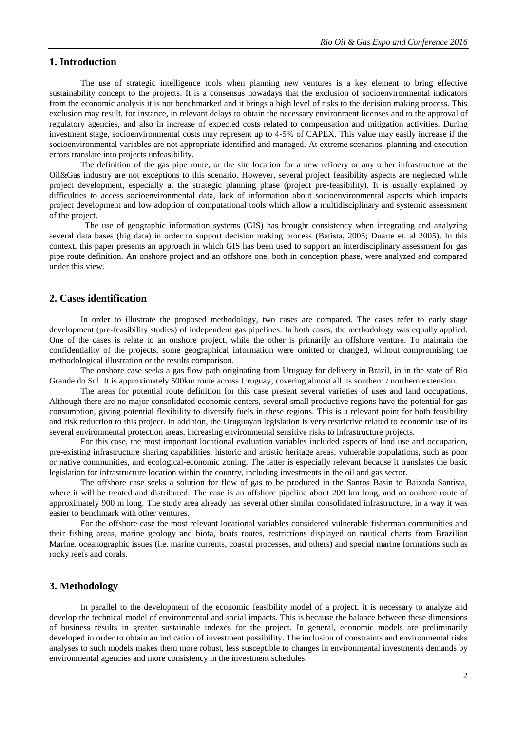## **1. Introduction**

The use of strategic intelligence tools when planning new ventures is a key element to bring effective sustainability concept to the projects. It is a consensus nowadays that the exclusion of socioenvironmental indicators from the economic analysis it is not benchmarked and it brings a high level of risks to the decision making process. This exclusion may result, for instance, in relevant delays to obtain the necessary environment licenses and to the approval of regulatory agencies, and also in increase of expected costs related to compensation and mitigation activities. During investment stage, socioenvironmental costs may represent up to 4-5% of CAPEX. This value may easily increase if the socioenvironmental variables are not appropriate identified and managed. At extreme scenarios, planning and execution errors translate into projects unfeasibility.

The definition of the gas pipe route, or the site location for a new refinery or any other infrastructure at the Oil&Gas industry are not exceptions to this scenario. However, several project feasibility aspects are neglected while project development, especially at the strategic planning phase (project pre-feasibility). It is usually explained by difficulties to access socioenvironmental data, lack of information about socioenvironmental aspects which impacts project development and low adoption of computational tools which allow a multidisciplinary and systemic assessment of the project.

The use of geographic information systems (GIS) has brought consistency when integrating and analyzing several data bases (big data) in order to support decision making process (Batista, 2005; Duarte et. al 2005). In this context, this paper presents an approach in which GIS has been used to support an interdisciplinary assessment for gas pipe route definition. An onshore project and an offshore one, both in conception phase, were analyzed and compared under this view.

## **2. Cases identification**

In order to illustrate the proposed methodology, two cases are compared. The cases refer to early stage development (pre-feasibility studies) of independent gas pipelines. In both cases, the methodology was equally applied. One of the cases is relate to an onshore project, while the other is primarily an offshore venture. To maintain the confidentiality of the projects, some geographical information were omitted or changed, without compromising the methodological illustration or the results comparison.

The onshore case seeks a gas flow path originating from Uruguay for delivery in Brazil, in in the state of Rio Grande do Sul. It is approximately 500km route across Uruguay, covering almost all its southern / northern extension.

The areas for potential route definition for this case present several varieties of uses and land occupations. Although there are no major consolidated economic centers, several small productive regions have the potential for gas consumption, giving potential flexibility to diversify fuels in these regions. This is a relevant point for both feasibility and risk reduction to this project. In addition, the Uruguayan legislation is very restrictive related to economic use of its several environmental protection areas, increasing environmental sensitive risks to infrastructure projects.

For this case, the most important locational evaluation variables included aspects of land use and occupation, pre-existing infrastructure sharing capabilities, historic and artistic heritage areas, vulnerable populations, such as poor or native communities, and ecological-economic zoning. The latter is especially relevant because it translates the basic legislation for infrastructure location within the country, including investments in the oil and gas sector.

The offshore case seeks a solution for flow of gas to be produced in the Santos Basin to Baixada Santista, where it will be treated and distributed. The case is an offshore pipeline about 200 km long, and an onshore route of approximately 900 m long. The study area already has several other similar consolidated infrastructure, in a way it was easier to benchmark with other ventures.

For the offshore case the most relevant locational variables considered vulnerable fisherman communities and their fishing areas, marine geology and biota, boats routes, restrictions displayed on nautical charts from Brazilian Marine, oceanographic issues (i.e. marine currents, coastal processes, and others) and special marine formations such as rocky reefs and corals.

## **3. Methodology**

In parallel to the development of the economic feasibility model of a project, it is necessary to analyze and develop the technical model of environmental and social impacts. This is because the balance between these dimensions of business results in greater sustainable indexes for the project. In general, economic models are preliminarily developed in order to obtain an indication of investment possibility. The inclusion of constraints and environmental risks analyses to such models makes them more robust, less susceptible to changes in environmental investments demands by environmental agencies and more consistency in the investment schedules.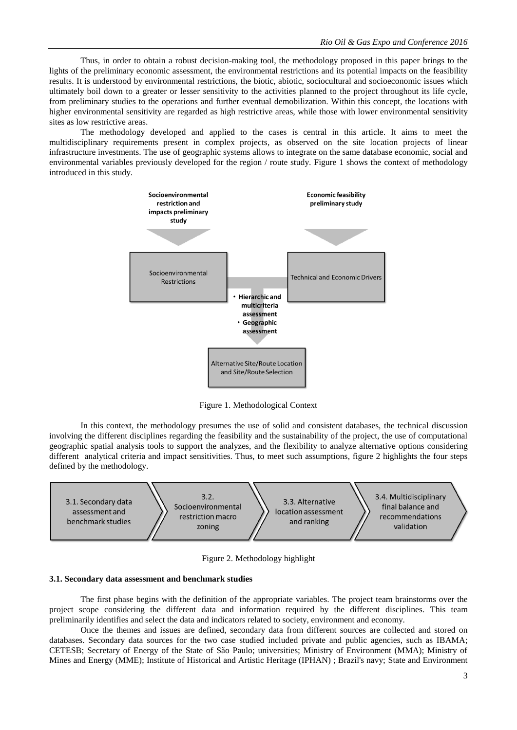Thus, in order to obtain a robust decision-making tool, the methodology proposed in this paper brings to the lights of the preliminary economic assessment, the environmental restrictions and its potential impacts on the feasibility results. It is understood by environmental restrictions, the biotic, abiotic, sociocultural and socioeconomic issues which ultimately boil down to a greater or lesser sensitivity to the activities planned to the project throughout its life cycle, from preliminary studies to the operations and further eventual demobilization. Within this concept, the locations with higher environmental sensitivity are regarded as high restrictive areas, while those with lower environmental sensitivity sites as low restrictive areas.

The methodology developed and applied to the cases is central in this article. It aims to meet the multidisciplinary requirements present in complex projects, as observed on the site location projects of linear infrastructure investments. The use of geographic systems allows to integrate on the same database economic, social and environmental variables previously developed for the region / route study. Figure 1 shows the context of methodology introduced in this study.



Figure 1. Methodological Context

In this context, the methodology presumes the use of solid and consistent databases, the technical discussion involving the different disciplines regarding the feasibility and the sustainability of the project, the use of computational geographic spatial analysis tools to support the analyzes, and the flexibility to analyze alternative options considering different analytical criteria and impact sensitivities. Thus, to meet such assumptions, figure 2 highlights the four steps defined by the methodology.



Figure 2. Methodology highlight

#### **3.1. Secondary data assessment and benchmark studies**

The first phase begins with the definition of the appropriate variables. The project team brainstorms over the project scope considering the different data and information required by the different disciplines. This team preliminarily identifies and select the data and indicators related to society, environment and economy.

Once the themes and issues are defined, secondary data from different sources are collected and stored on databases. Secondary data sources for the two case studied included private and public agencies, such as IBAMA; CETESB; Secretary of Energy of the State of São Paulo; universities; Ministry of Environment (MMA); Ministry of Mines and Energy (MME); Institute of Historical and Artistic Heritage (IPHAN) ; Brazil's navy; State and Environment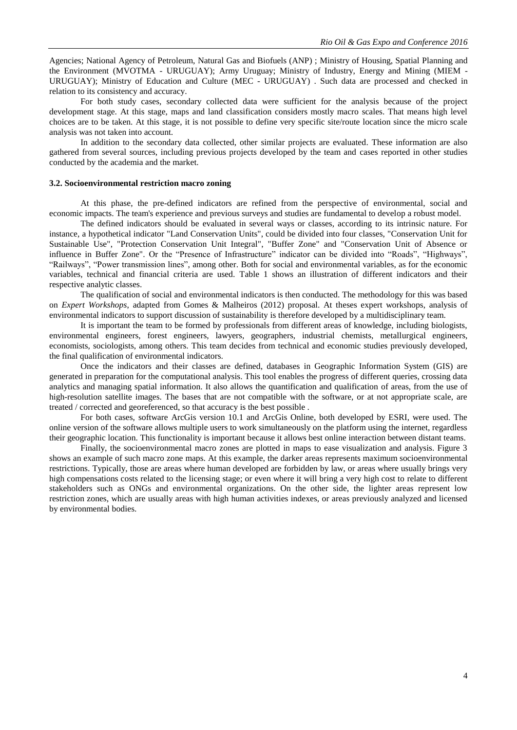Agencies; National Agency of Petroleum, Natural Gas and Biofuels (ANP) ; Ministry of Housing, Spatial Planning and the Environment (MVOTMA - URUGUAY); Army Uruguay; Ministry of Industry, Energy and Mining (MIEM - URUGUAY); Ministry of Education and Culture (MEC - URUGUAY) . Such data are processed and checked in relation to its consistency and accuracy.

For both study cases, secondary collected data were sufficient for the analysis because of the project development stage. At this stage, maps and land classification considers mostly macro scales. That means high level choices are to be taken. At this stage, it is not possible to define very specific site/route location since the micro scale analysis was not taken into account.

In addition to the secondary data collected, other similar projects are evaluated. These information are also gathered from several sources, including previous projects developed by the team and cases reported in other studies conducted by the academia and the market.

### **3.2. Socioenvironmental restriction macro zoning**

At this phase, the pre-defined indicators are refined from the perspective of environmental, social and economic impacts. The team's experience and previous surveys and studies are fundamental to develop a robust model.

The defined indicators should be evaluated in several ways or classes, according to its intrinsic nature. For instance, a hypothetical indicator "Land Conservation Units", could be divided into four classes, "Conservation Unit for Sustainable Use", "Protection Conservation Unit Integral", "Buffer Zone" and "Conservation Unit of Absence or influence in Buffer Zone". Or the "Presence of Infrastructure" indicator can be divided into "Roads", "Highways", "Railways", "Power transmission lines", among other. Both for social and environmental variables, as for the economic variables, technical and financial criteria are used. Table 1 shows an illustration of different indicators and their respective analytic classes.

The qualification of social and environmental indicators is then conducted. The methodology for this was based on *Expert Workshops*, adapted from Gomes & Malheiros (2012) proposal. At theses expert workshops, analysis of environmental indicators to support discussion of sustainability is therefore developed by a multidisciplinary team.

It is important the team to be formed by professionals from different areas of knowledge, including biologists, environmental engineers, forest engineers, lawyers, geographers, industrial chemists, metallurgical engineers, economists, sociologists, among others. This team decides from technical and economic studies previously developed, the final qualification of environmental indicators.

Once the indicators and their classes are defined, databases in Geographic Information System (GIS) are generated in preparation for the computational analysis. This tool enables the progress of different queries, crossing data analytics and managing spatial information. It also allows the quantification and qualification of areas, from the use of high-resolution satellite images. The bases that are not compatible with the software, or at not appropriate scale, are treated / corrected and georeferenced, so that accuracy is the best possible .

For both cases, software ArcGis version 10.1 and ArcGis Online, both developed by ESRI, were used. The online version of the software allows multiple users to work simultaneously on the platform using the internet, regardless their geographic location. This functionality is important because it allows best online interaction between distant teams.

Finally, the socioenvironmental macro zones are plotted in maps to ease visualization and analysis. Figure 3 shows an example of such macro zone maps. At this example, the darker areas represents maximum socioenvironmental restrictions. Typically, those are areas where human developed are forbidden by law, or areas where usually brings very high compensations costs related to the licensing stage; or even where it will bring a very high cost to relate to different stakeholders such as ONGs and environmental organizations. On the other side, the lighter areas represent low restriction zones, which are usually areas with high human activities indexes, or areas previously analyzed and licensed by environmental bodies.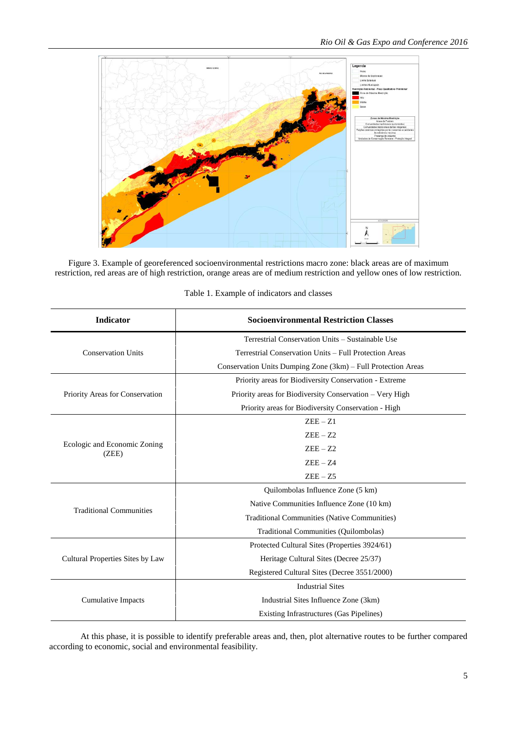

Figure 3. Example of georeferenced socioenvironmental restrictions macro zone: black areas are of maximum restriction, red areas are of high restriction, orange areas are of medium restriction and yellow ones of low restriction.

| <b>Indicator</b>                      | <b>Socioenvironmental Restriction Classes</b>                 |  |  |
|---------------------------------------|---------------------------------------------------------------|--|--|
|                                       | Terrestrial Conservation Units – Sustainable Use              |  |  |
| <b>Conservation Units</b>             | Terrestrial Conservation Units - Full Protection Areas        |  |  |
|                                       | Conservation Units Dumping Zone (3km) - Full Protection Areas |  |  |
| Priority Areas for Conservation       | Priority areas for Biodiversity Conservation - Extreme        |  |  |
|                                       | Priority areas for Biodiversity Conservation - Very High      |  |  |
|                                       | Priority areas for Biodiversity Conservation - High           |  |  |
| Ecologic and Economic Zoning<br>(ZEE) | $ZEE - Z1$                                                    |  |  |
|                                       | $ZEE - Z2$                                                    |  |  |
|                                       | $ZEE - Z2$                                                    |  |  |
|                                       | $ZEE - Z4$                                                    |  |  |
|                                       | $ZEE - Z5$                                                    |  |  |
| <b>Traditional Communities</b>        | Quilombolas Influence Zone (5 km)                             |  |  |
|                                       | Native Communities Influence Zone (10 km)                     |  |  |
|                                       | Traditional Communities (Native Communities)                  |  |  |
|                                       | Traditional Communities (Quilombolas)                         |  |  |
| Cultural Properties Sites by Law      | Protected Cultural Sites (Properties 3924/61)                 |  |  |
|                                       | Heritage Cultural Sites (Decree 25/37)                        |  |  |
|                                       | Registered Cultural Sites (Decree 3551/2000)                  |  |  |
| Cumulative Impacts                    | <b>Industrial Sites</b>                                       |  |  |
|                                       | Industrial Sites Influence Zone (3km)                         |  |  |
|                                       | Existing Infrastructures (Gas Pipelines)                      |  |  |

Table 1. Example of indicators and classes

At this phase, it is possible to identify preferable areas and, then, plot alternative routes to be further compared according to economic, social and environmental feasibility.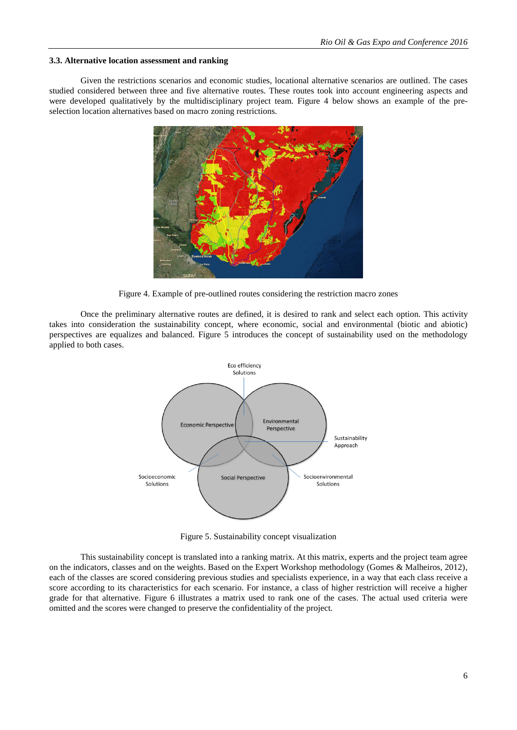### **3.3. Alternative location assessment and ranking**

Given the restrictions scenarios and economic studies, locational alternative scenarios are outlined. The cases studied considered between three and five alternative routes. These routes took into account engineering aspects and were developed qualitatively by the multidisciplinary project team. Figure 4 below shows an example of the preselection location alternatives based on macro zoning restrictions.



Figure 4. Example of pre-outlined routes considering the restriction macro zones

Once the preliminary alternative routes are defined, it is desired to rank and select each option. This activity takes into consideration the sustainability concept, where economic, social and environmental (biotic and abiotic) perspectives are equalizes and balanced. Figure 5 introduces the concept of sustainability used on the methodology applied to both cases.



Figure 5. Sustainability concept visualization

This sustainability concept is translated into a ranking matrix. At this matrix, experts and the project team agree on the indicators, classes and on the weights. Based on the Expert Workshop methodology (Gomes & Malheiros, 2012), each of the classes are scored considering previous studies and specialists experience, in a way that each class receive a score according to its characteristics for each scenario. For instance, a class of higher restriction will receive a higher grade for that alternative. Figure 6 illustrates a matrix used to rank one of the cases. The actual used criteria were omitted and the scores were changed to preserve the confidentiality of the project.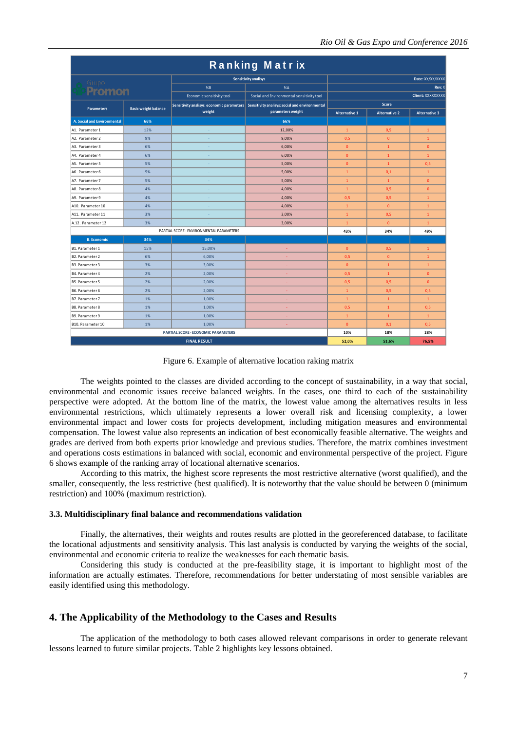| Ranking Matrix                             |                             |                           |                                                                                                               |                      |                      |                      |  |
|--------------------------------------------|-----------------------------|---------------------------|---------------------------------------------------------------------------------------------------------------|----------------------|----------------------|----------------------|--|
|                                            |                             | Sensitivity analisys      |                                                                                                               | Date: XX/XX/XXXX     |                      |                      |  |
| Grupo                                      |                             | %B                        | %A                                                                                                            |                      |                      | Rev: X               |  |
| <b>Promon</b>                              |                             | Economic sensitivity tool | Social and Environmental sensitivity tool                                                                     | Client: XXXXXXXXX    |                      |                      |  |
| <b>Parameters</b>                          | <b>Basic weight balance</b> | weight                    | Sensitivity analisys: economic parameters Sensitivity analisys: social and environmental<br>parameters weight | Score                |                      |                      |  |
|                                            |                             |                           |                                                                                                               | <b>Alternative 1</b> | <b>Alternative 2</b> | <b>Alternative 3</b> |  |
| A. Social and Environmental                | 66%                         |                           | 66%                                                                                                           |                      |                      |                      |  |
| A1. Parameter 1                            | 12%                         |                           | 12.00%                                                                                                        | $\mathbf{1}$         | 0.5                  | $\mathbf{1}$         |  |
| A2. Parameter 2                            | 9%                          | $\sim$                    | 9,00%                                                                                                         | 0,5                  | $\mathbf{0}$         | $\mathbf{1}$         |  |
| A3. Parameter 3                            | 6%                          | ÷                         | 6,00%                                                                                                         | $\mathbf{0}$         | $\mathbf{1}$         | $\overline{0}$       |  |
| A4. Parameter 4                            | 6%                          |                           | 6,00%                                                                                                         | $\mathbf{0}$         | $\mathbf{1}$         | $\mathbf{1}$         |  |
| A5. Parameter 5                            | 5%                          | ٠                         | 5,00%                                                                                                         | $\overline{0}$       | $\mathbf{1}$         | 0,5                  |  |
| A6. Parameter 6                            | 5%                          |                           | 5,00%                                                                                                         | $\mathbf{1}$         | 0,1                  | $\mathbf{1}$         |  |
| A7. Parameter 7                            | 5%                          | $\sim$                    | 5.00%                                                                                                         | $\mathbf{1}$         | $\mathbf{1}$         | $\mathbf{0}$         |  |
| A8. Parameter 8                            | 4%                          | ÷                         | 4,00%                                                                                                         | $\mathbf{1}$         | 0,5                  | $\mathbf{0}$         |  |
| A9. Parameter 9                            | 4%                          |                           | 4,00%                                                                                                         | 0,5                  | 0,5                  | $\mathbf{1}$         |  |
| A10. Parameter 10                          | 4%                          | ÷                         | 4,00%                                                                                                         | $\mathbf{1}$         | $\mathbf{0}$         | $\mathbf{1}$         |  |
| A11. Parameter 11                          | 3%                          |                           | 3.00%                                                                                                         | $\mathbf{1}$         | 0,5                  | $\mathbf{1}$         |  |
| A.12. Parameter 12                         | 3%                          | $\sim$                    | 3,00%                                                                                                         | $\mathbf{1}$         | $\mathbf{0}$         | $\mathbf{1}$         |  |
| PARTIAL SCORE - ENVIRONMENTAL PARAMETERS   |                             |                           |                                                                                                               | 43%                  | 34%                  | 49%                  |  |
| <b>B.</b> Economic                         | 34%                         | 34%                       |                                                                                                               |                      |                      |                      |  |
| B1. Parameter 1                            | 15%                         | 15,00%                    | ä,                                                                                                            | $\mathbf{0}$         | 0,5                  | $\mathbf{1}$         |  |
| B <sub>2</sub> . Parameter 2               | 6%                          | 6,00%                     |                                                                                                               | 0,5                  | $\mathbf{0}$         | $\mathbf{1}$         |  |
| B3. Parameter 3                            | 3%                          | 3,00%                     |                                                                                                               | $\bullet$            | $\mathbf{1}$         | $\mathbf{1}$         |  |
| B4. Parameter 4                            | 2%                          | 2,00%                     | ٠                                                                                                             | 0,5                  | $\mathbf{1}$         | $\bullet$            |  |
| B5. Parameter 5                            | 2%                          | 2,00%                     |                                                                                                               | 0,5                  | 0,5                  | $\overline{0}$       |  |
| B6. Parameter 6                            | 2%                          | 2,00%                     |                                                                                                               | $\mathbf{1}$         | 0,5                  | 0,5                  |  |
| B7. Parameter 7                            | 1%                          | 1,00%                     |                                                                                                               | $\mathbf{1}$         | $\mathbf{1}$         | $\mathbf{1}$         |  |
| B8. Parameter 8                            | 1%                          | 1,00%                     |                                                                                                               | 0,5                  | $\mathbf{1}$         | 0,5                  |  |
| B9. Parameter 9                            | 1%                          | 1,00%                     | ٠                                                                                                             | $\mathbf{1}$         | $\mathbf{1}$         | $\mathbf{1}$         |  |
| B10. Parameter 10                          | 1%                          | 1,00%                     |                                                                                                               | $\mathbf{0}$         | 0,1                  | 0,5                  |  |
| <b>PARTIAL SCORE - ECONOMIC PARAMETERS</b> |                             |                           | 10%                                                                                                           | 18%                  | 28%                  |                      |  |
| <b>FINAL RESULT</b>                        |                             |                           | 52.0%                                                                                                         | 51,6%                | 76.5%                |                      |  |

Figure 6. Example of alternative location raking matrix

The weights pointed to the classes are divided according to the concept of sustainability, in a way that social, environmental and economic issues receive balanced weights. In the cases, one third to each of the sustainability perspective were adopted. At the bottom line of the matrix, the lowest value among the alternatives results in less environmental restrictions, which ultimately represents a lower overall risk and licensing complexity, a lower environmental impact and lower costs for projects development, including mitigation measures and environmental compensation. The lowest value also represents an indication of best economically feasible alternative. The weights and grades are derived from both experts prior knowledge and previous studies. Therefore, the matrix combines investment and operations costs estimations in balanced with social, economic and environmental perspective of the project. Figure 6 shows example of the ranking array of locational alternative scenarios.

According to this matrix, the highest score represents the most restrictive alternative (worst qualified), and the smaller, consequently, the less restrictive (best qualified). It is noteworthy that the value should be between 0 (minimum restriction) and 100% (maximum restriction).

### **3.3. Multidisciplinary final balance and recommendations validation**

Finally, the alternatives, their weights and routes results are plotted in the georeferenced database, to facilitate the locational adjustments and sensitivity analysis. This last analysis is conducted by varying the weights of the social, environmental and economic criteria to realize the weaknesses for each thematic basis.

Considering this study is conducted at the pre-feasibility stage, it is important to highlight most of the information are actually estimates. Therefore, recommendations for better understating of most sensible variables are easily identified using this methodology.

### **4. The Applicability of the Methodology to the Cases and Results**

The application of the methodology to both cases allowed relevant comparisons in order to generate relevant lessons learned to future similar projects. Table 2 highlights key lessons obtained.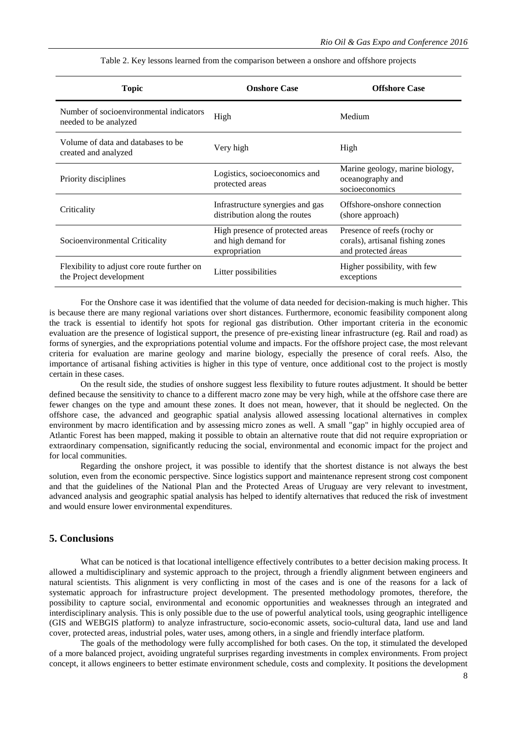| Topic                                                                  | <b>Onshore Case</b>                                                      | <b>Offshore Case</b>                                                                   |  |  |
|------------------------------------------------------------------------|--------------------------------------------------------------------------|----------------------------------------------------------------------------------------|--|--|
| Number of socioenvironmental indicators<br>needed to be analyzed       | High                                                                     | Medium                                                                                 |  |  |
| Volume of data and databases to be<br>created and analyzed             | Very high                                                                | High                                                                                   |  |  |
| Priority disciplines                                                   | Logistics, socioeconomics and<br>protected areas                         | Marine geology, marine biology,<br>oceanography and<br>socioeconomics                  |  |  |
| Criticality                                                            | Infrastructure synergies and gas<br>distribution along the routes        | Offshore-onshore connection<br>(shore approach)                                        |  |  |
| Socioenvironmental Criticality                                         | High presence of protected areas<br>and high demand for<br>expropriation | Presence of reefs (rochy or<br>corals), artisanal fishing zones<br>and protected áreas |  |  |
| Flexibility to adjust core route further on<br>the Project development | Litter possibilities                                                     | Higher possibility, with few<br>exceptions                                             |  |  |

Table 2. Key lessons learned from the comparison between a onshore and offshore projects

For the Onshore case it was identified that the volume of data needed for decision-making is much higher. This is because there are many regional variations over short distances. Furthermore, economic feasibility component along the track is essential to identify hot spots for regional gas distribution. Other important criteria in the economic evaluation are the presence of logistical support, the presence of pre-existing linear infrastructure (eg. Rail and road) as forms of synergies, and the expropriations potential volume and impacts. For the offshore project case, the most relevant criteria for evaluation are marine geology and marine biology, especially the presence of coral reefs. Also, the importance of artisanal fishing activities is higher in this type of venture, once additional cost to the project is mostly certain in these cases.

On the result side, the studies of onshore suggest less flexibility to future routes adjustment. It should be better defined because the sensitivity to chance to a different macro zone may be very high, while at the offshore case there are fewer changes on the type and amount these zones. It does not mean, however, that it should be neglected. On the offshore case, the advanced and geographic spatial analysis allowed assessing locational alternatives in complex environment by macro identification and by assessing micro zones as well. A small "gap" in highly occupied area of Atlantic Forest has been mapped, making it possible to obtain an alternative route that did not require expropriation or extraordinary compensation, significantly reducing the social, environmental and economic impact for the project and for local communities.

Regarding the onshore project, it was possible to identify that the shortest distance is not always the best solution, even from the economic perspective. Since logistics support and maintenance represent strong cost component and that the guidelines of the National Plan and the Protected Areas of Uruguay are very relevant to investment, advanced analysis and geographic spatial analysis has helped to identify alternatives that reduced the risk of investment and would ensure lower environmental expenditures.

# **5. Conclusions**

What can be noticed is that locational intelligence effectively contributes to a better decision making process. It allowed a multidisciplinary and systemic approach to the project, through a friendly alignment between engineers and natural scientists. This alignment is very conflicting in most of the cases and is one of the reasons for a lack of systematic approach for infrastructure project development. The presented methodology promotes, therefore, the possibility to capture social, environmental and economic opportunities and weaknesses through an integrated and interdisciplinary analysis. This is only possible due to the use of powerful analytical tools, using geographic intelligence (GIS and WEBGIS platform) to analyze infrastructure, socio-economic assets, socio-cultural data, land use and land cover, protected areas, industrial poles, water uses, among others, in a single and friendly interface platform.

The goals of the methodology were fully accomplished for both cases. On the top, it stimulated the developed of a more balanced project, avoiding ungrateful surprises regarding investments in complex environments. From project concept, it allows engineers to better estimate environment schedule, costs and complexity. It positions the development